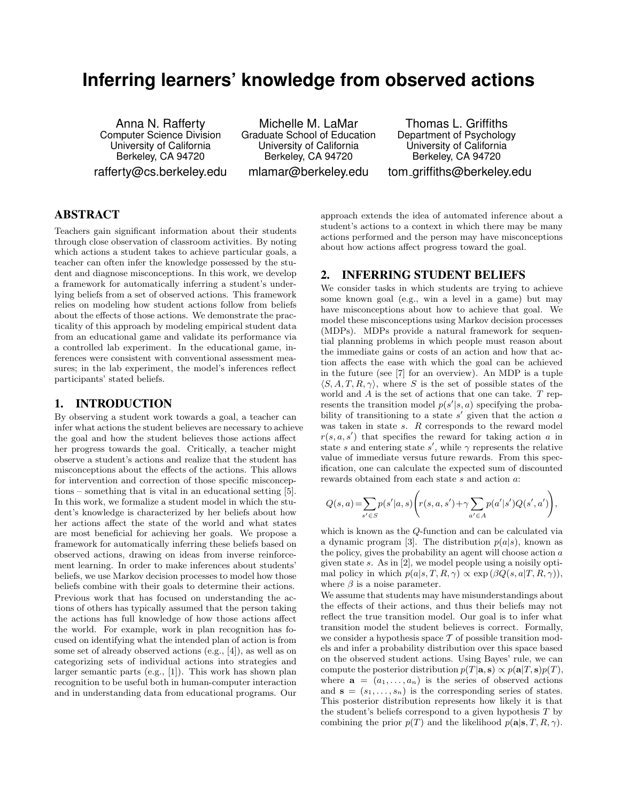# **Inferring learners' knowledge from observed actions**

Anna N. Rafferty Computer Science Division University of California Berkeley, CA 94720 rafferty@cs.berkeley.edu

Michelle M. LaMar Graduate School of Education University of California Berkeley, CA 94720 mlamar@berkeley.edu

Thomas L. Griffiths Department of Psychology University of California Berkeley, CA 94720 tom griffiths@berkeley.edu

# ABSTRACT

Teachers gain significant information about their students through close observation of classroom activities. By noting which actions a student takes to achieve particular goals, a teacher can often infer the knowledge possessed by the student and diagnose misconceptions. In this work, we develop a framework for automatically inferring a student's underlying beliefs from a set of observed actions. This framework relies on modeling how student actions follow from beliefs about the effects of those actions. We demonstrate the practicality of this approach by modeling empirical student data from an educational game and validate its performance via a controlled lab experiment. In the educational game, inferences were consistent with conventional assessment measures; in the lab experiment, the model's inferences reflect participants' stated beliefs.

#### 1. INTRODUCTION

By observing a student work towards a goal, a teacher can infer what actions the student believes are necessary to achieve the goal and how the student believes those actions affect her progress towards the goal. Critically, a teacher might observe a student's actions and realize that the student has misconceptions about the effects of the actions. This allows for intervention and correction of those specific misconceptions – something that is vital in an educational setting [5]. In this work, we formalize a student model in which the student's knowledge is characterized by her beliefs about how her actions affect the state of the world and what states are most beneficial for achieving her goals. We propose a framework for automatically inferring these beliefs based on observed actions, drawing on ideas from inverse reinforcement learning. In order to make inferences about students' beliefs, we use Markov decision processes to model how those beliefs combine with their goals to determine their actions. Previous work that has focused on understanding the actions of others has typically assumed that the person taking the actions has full knowledge of how those actions affect the world. For example, work in plan recognition has focused on identifying what the intended plan of action is from some set of already observed actions (e.g., [4]), as well as on categorizing sets of individual actions into strategies and larger semantic parts (e.g., [1]). This work has shown plan recognition to be useful both in human-computer interaction and in understanding data from educational programs. Our

approach extends the idea of automated inference about a student's actions to a context in which there may be many actions performed and the person may have misconceptions about how actions affect progress toward the goal.

### 2. INFERRING STUDENT BELIEFS

We consider tasks in which students are trying to achieve some known goal (e.g., win a level in a game) but may have misconceptions about how to achieve that goal. We model these misconceptions using Markov decision processes (MDPs). MDPs provide a natural framework for sequential planning problems in which people must reason about the immediate gains or costs of an action and how that action affects the ease with which the goal can be achieved in the future (see [7] for an overview). An MDP is a tuple  $\langle S, A, T, R, \gamma \rangle$ , where S is the set of possible states of the world and  $A$  is the set of actions that one can take.  $T$  represents the transition model  $p(s'|s, a)$  specifying the probability of transitioning to a state  $s'$  given that the action  $a$ was taken in state s. R corresponds to the reward model  $r(s, a, s')$  that specifies the reward for taking action a in state s and entering state s', while  $\gamma$  represents the relative value of immediate versus future rewards. From this specification, one can calculate the expected sum of discounted rewards obtained from each state s and action a:

$$
Q(s, a) = \sum_{s' \in S} p(s'|a, s) \left( r(s, a, s') + \gamma \sum_{a' \in A} p(a'|s') Q(s', a') \right),
$$

which is known as the Q-function and can be calculated via a dynamic program [3]. The distribution  $p(a|s)$ , known as the policy, gives the probability an agent will choose action a given state s. As in [2], we model people using a noisily optimal policy in which  $p(a|s,T,R,\gamma) \propto \exp(\beta Q(s,a|T,R,\gamma)),$ where  $\beta$  is a noise parameter.

We assume that students may have misunderstandings about the effects of their actions, and thus their beliefs may not reflect the true transition model. Our goal is to infer what transition model the student believes is correct. Formally, we consider a hypothesis space  $\mathcal T$  of possible transition models and infer a probability distribution over this space based on the observed student actions. Using Bayes' rule, we can compute the posterior distribution  $p(T|\mathbf{a}, \mathbf{s}) \propto p(\mathbf{a}|T, \mathbf{s})p(T)$ , where  $\mathbf{a} = (a_1, \ldots, a_n)$  is the series of observed actions and  $\mathbf{s} = (s_1, \ldots, s_n)$  is the corresponding series of states. This posterior distribution represents how likely it is that the student's beliefs correspond to a given hypothesis  $T$  by combining the prior  $p(T)$  and the likelihood  $p(\mathbf{a}|\mathbf{s}, T, R, \gamma)$ .